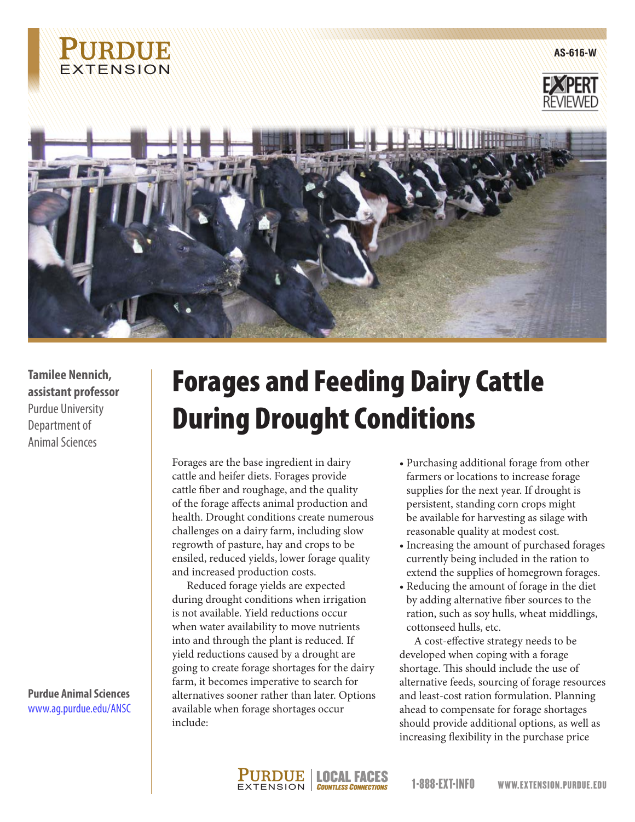

**AS-616-W**





**Tamilee Nennich, assistant professor** Purdue University Department of Animal Sciences

**Purdue Animal Sciences** www.ag.purdue.edu/ANSC

## Forages and Feeding Dairy Cattle During Drought Conditions

Forages are the base ingredient in dairy cattle and heifer diets. Forages provide cattle fiber and roughage, and the quality of the forage affects animal production and health. Drought conditions create numerous challenges on a dairy farm, including slow regrowth of pasture, hay and crops to be ensiled, reduced yields, lower forage quality and increased production costs.

Reduced forage yields are expected during drought conditions when irrigation is not available. Yield reductions occur when water availability to move nutrients into and through the plant is reduced. If yield reductions caused by a drought are going to create forage shortages for the dairy farm, it becomes imperative to search for alternatives sooner rather than later. Options available when forage shortages occur include:

- Purchasing additional forage from other farmers or locations to increase forage supplies for the next year. If drought is persistent, standing corn crops might be available for harvesting as silage with reasonable quality at modest cost.
- Increasing the amount of purchased forages currently being included in the ration to extend the supplies of homegrown forages.
- Reducing the amount of forage in the diet by adding alternative fiber sources to the ration, such as soy hulls, wheat middlings, cottonseed hulls, etc.

A cost-effective strategy needs to be developed when coping with a forage shortage. This should include the use of alternative feeds, sourcing of forage resources and least-cost ration formulation. Planning ahead to compensate for forage shortages should provide additional options, as well as increasing flexibility in the purchase price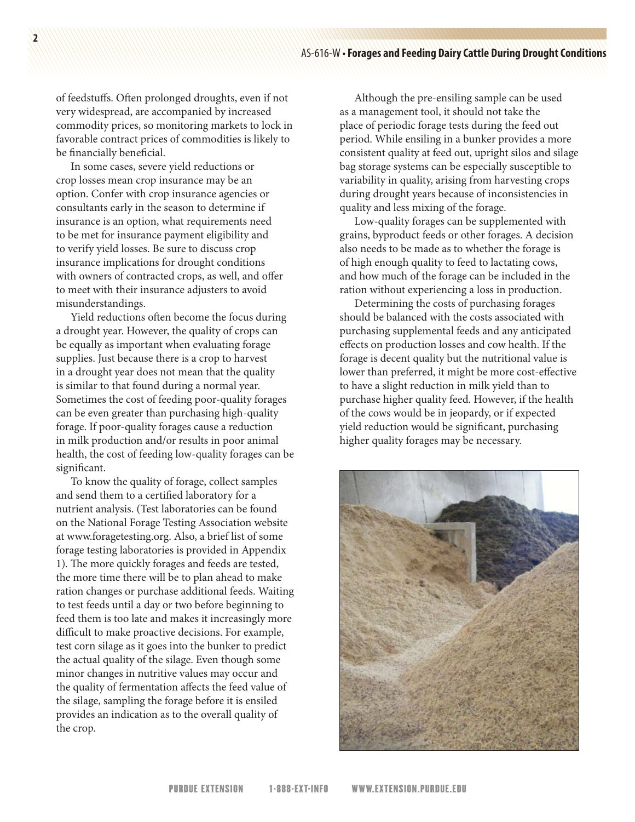of feedstuffs. Often prolonged droughts, even if not very widespread, are accompanied by increased commodity prices, so monitoring markets to lock in favorable contract prices of commodities is likely to be financially beneficial.

In some cases, severe yield reductions or crop losses mean crop insurance may be an option. Confer with crop insurance agencies or consultants early in the season to determine if insurance is an option, what requirements need to be met for insurance payment eligibility and to verify yield losses. Be sure to discuss crop insurance implications for drought conditions with owners of contracted crops, as well, and offer to meet with their insurance adjusters to avoid misunderstandings.

Yield reductions often become the focus during a drought year. However, the quality of crops can be equally as important when evaluating forage supplies. Just because there is a crop to harvest in a drought year does not mean that the quality is similar to that found during a normal year. Sometimes the cost of feeding poor-quality forages can be even greater than purchasing high-quality forage. If poor-quality forages cause a reduction in milk production and/or results in poor animal health, the cost of feeding low-quality forages can be significant.

To know the quality of forage, collect samples and send them to a certified laboratory for a nutrient analysis. (Test laboratories can be found on the National Forage Testing Association website at www.foragetesting.org. Also, a brief list of some forage testing laboratories is provided in Appendix 1). The more quickly forages and feeds are tested, the more time there will be to plan ahead to make ration changes or purchase additional feeds. Waiting to test feeds until a day or two before beginning to feed them is too late and makes it increasingly more difficult to make proactive decisions. For example, test corn silage as it goes into the bunker to predict the actual quality of the silage. Even though some minor changes in nutritive values may occur and the quality of fermentation affects the feed value of the silage, sampling the forage before it is ensiled provides an indication as to the overall quality of the crop.

Although the pre-ensiling sample can be used as a management tool, it should not take the place of periodic forage tests during the feed out period. While ensiling in a bunker provides a more consistent quality at feed out, upright silos and silage bag storage systems can be especially susceptible to variability in quality, arising from harvesting crops during drought years because of inconsistencies in quality and less mixing of the forage.

Low-quality forages can be supplemented with grains, byproduct feeds or other forages. A decision also needs to be made as to whether the forage is of high enough quality to feed to lactating cows, and how much of the forage can be included in the ration without experiencing a loss in production.

Determining the costs of purchasing forages should be balanced with the costs associated with purchasing supplemental feeds and any anticipated effects on production losses and cow health. If the forage is decent quality but the nutritional value is lower than preferred, it might be more cost-effective to have a slight reduction in milk yield than to purchase higher quality feed. However, if the health of the cows would be in jeopardy, or if expected yield reduction would be significant, purchasing higher quality forages may be necessary.

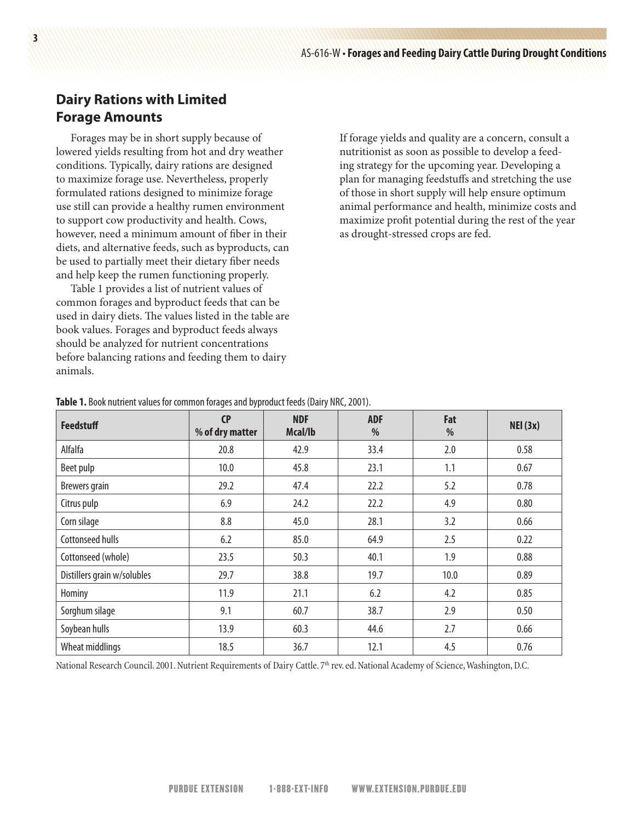## **Dairy Rations with Limited Forage Amounts**

Forages may be in short supply because of lowered yields resulting from hot and dry weather conditions. Typically, dairy rations are designed to maximize forage use. Nevertheless, properly formulated rations designed to minimize forage use still can provide a healthy rumen environment to support cow productivity and health. Cows, however, need a minimum amount of fiber in their diets, and alternative feeds, such as byproducts, can be used to partially meet their dietary fiber needs and help keep the rumen functioning properly.

Table 1 provides a list of nutrient values of common forages and byproduct feeds that can be used in dairy diets. The values listed in the table are book values. Forages and byproduct feeds always should be analyzed for nutrient concentrations before balancing rations and feeding them to dairy animals.

If forage yields and quality are a concern, consult a nutritionist as soon as possible to develop a feeding strategy for the upcoming year. Developing a plan for managing feedstuffs and stretching the use of those in short supply will help ensure optimum animal performance and health, minimize costs and maximize profit potential during the rest of the year as drought-stressed crops are fed.

| <b>Feedstuff</b>            | CP<br>% of dry matter | <b>NDF</b><br>Mcal/lb | <b>ADF</b><br>% | Fat<br>% | NEI(3x) |
|-----------------------------|-----------------------|-----------------------|-----------------|----------|---------|
| Alfalfa                     | 20.8                  | 42.9                  | 33.4            | 2.0      | 0.58    |
| Beet pulp                   | 10.0                  | 45.8                  | 23.1            | 1.1      | 0.67    |
| <b>Brewers</b> grain        | 29.2                  | 47.4                  | 22.2            | 5.2      | 0.78    |
| Citrus pulp                 | 6.9                   | 24.2                  | 22.2            | 4.9      | 0.80    |
| Corn silage                 | 8.8                   | 45.0                  | 28.1            | 3.2      | 0.66    |
| Cottonseed hulls            | 6.2                   | 85.0                  | 64.9            | 2.5      | 0.22    |
| Cottonseed (whole)          | 23.5                  | 50.3                  | 40.1            | 1.9      | 0.88    |
| Distillers grain w/solubles | 29.7                  | 38.8                  | 19.7            | 10.0     | 0.89    |
| Hominy                      | 11.9                  | 21.1                  | 6.2             | 4.2      | 0.85    |
| Sorghum silage              | 9.1                   | 60.7                  | 38.7            | 2.9      | 0.50    |
| Soybean hulls               | 13.9                  | 60.3                  | 44.6            | 2.7      | 0.66    |
| Wheat middlings             | 18.5                  | 36.7                  | 12.1            | 4.5      | 0.76    |

**Table 1.** Book nutrient values for common forages and byproduct feeds (Dairy NRC, 2001).

National Research Council. 2001. Nutrient Requirements of Dairy Cattle. 7th rev. ed. National Academy of Science, Washington, D.C.